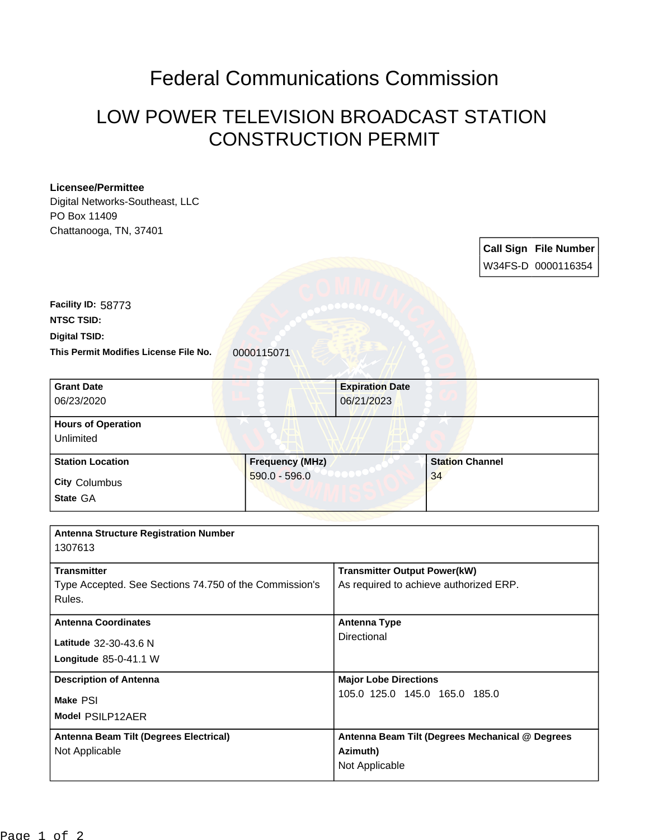## Federal Communications Commission

## LOW POWER TELEVISION BROADCAST STATION CONSTRUCTION PERMIT

## **Licensee/Permittee**

Digital Networks-Southeast, LLC PO Box 11409

| <b>LO DOX 11409</b>                                     |                                     |                                                 |    |                        |                              |
|---------------------------------------------------------|-------------------------------------|-------------------------------------------------|----|------------------------|------------------------------|
| Chattanooga, TN, 37401                                  |                                     |                                                 |    |                        |                              |
|                                                         |                                     |                                                 |    |                        | <b>Call Sign File Number</b> |
|                                                         |                                     |                                                 |    |                        | W34FS-D 0000116354           |
|                                                         |                                     |                                                 |    |                        |                              |
|                                                         |                                     |                                                 |    |                        |                              |
| Facility ID: 58773                                      |                                     |                                                 |    |                        |                              |
| <b>NTSC TSID:</b>                                       |                                     |                                                 |    |                        |                              |
| <b>Digital TSID:</b>                                    |                                     |                                                 |    |                        |                              |
| This Permit Modifies License File No.                   | 0000115071                          |                                                 |    |                        |                              |
|                                                         |                                     |                                                 |    |                        |                              |
|                                                         |                                     |                                                 |    |                        |                              |
| <b>Grant Date</b>                                       |                                     | <b>Expiration Date</b>                          |    |                        |                              |
| 06/23/2020                                              |                                     | 06/21/2023                                      |    |                        |                              |
| <b>Hours of Operation</b>                               |                                     |                                                 |    |                        |                              |
| Unlimited                                               |                                     |                                                 |    |                        |                              |
|                                                         |                                     |                                                 |    |                        |                              |
| <b>Station Location</b>                                 | <b>Frequency (MHz)</b>              |                                                 |    | <b>Station Channel</b> |                              |
| <b>City Columbus</b>                                    | 590.0 - 596.0                       |                                                 | 34 |                        |                              |
| State GA                                                |                                     |                                                 |    |                        |                              |
|                                                         |                                     |                                                 |    |                        |                              |
|                                                         |                                     |                                                 |    |                        |                              |
| <b>Antenna Structure Registration Number</b><br>1307613 |                                     |                                                 |    |                        |                              |
|                                                         |                                     |                                                 |    |                        |                              |
| <b>Transmitter</b>                                      | <b>Transmitter Output Power(kW)</b> |                                                 |    |                        |                              |
| Type Accepted. See Sections 74.750 of the Commission's  |                                     | As required to achieve authorized ERP.          |    |                        |                              |
| Rules.                                                  |                                     |                                                 |    |                        |                              |
|                                                         |                                     |                                                 |    |                        |                              |
| <b>Antenna Coordinates</b>                              |                                     | <b>Antenna Type</b><br>Directional              |    |                        |                              |
| Latitude 32-30-43.6 N                                   |                                     |                                                 |    |                        |                              |
| Longitude 85-0-41.1 W                                   |                                     |                                                 |    |                        |                              |
| <b>Description of Antenna</b>                           |                                     | <b>Major Lobe Directions</b>                    |    |                        |                              |
|                                                         |                                     | 105.0 125.0 145.0 165.0 185.0                   |    |                        |                              |
| Make PSI                                                |                                     |                                                 |    |                        |                              |
| Model PSILP12AER                                        |                                     |                                                 |    |                        |                              |
| <b>Antenna Beam Tilt (Degrees Electrical)</b>           |                                     | Antenna Beam Tilt (Degrees Mechanical @ Degrees |    |                        |                              |
| Not Applicable                                          |                                     | Azimuth)                                        |    |                        |                              |
|                                                         |                                     | Not Applicable                                  |    |                        |                              |
|                                                         |                                     |                                                 |    |                        |                              |